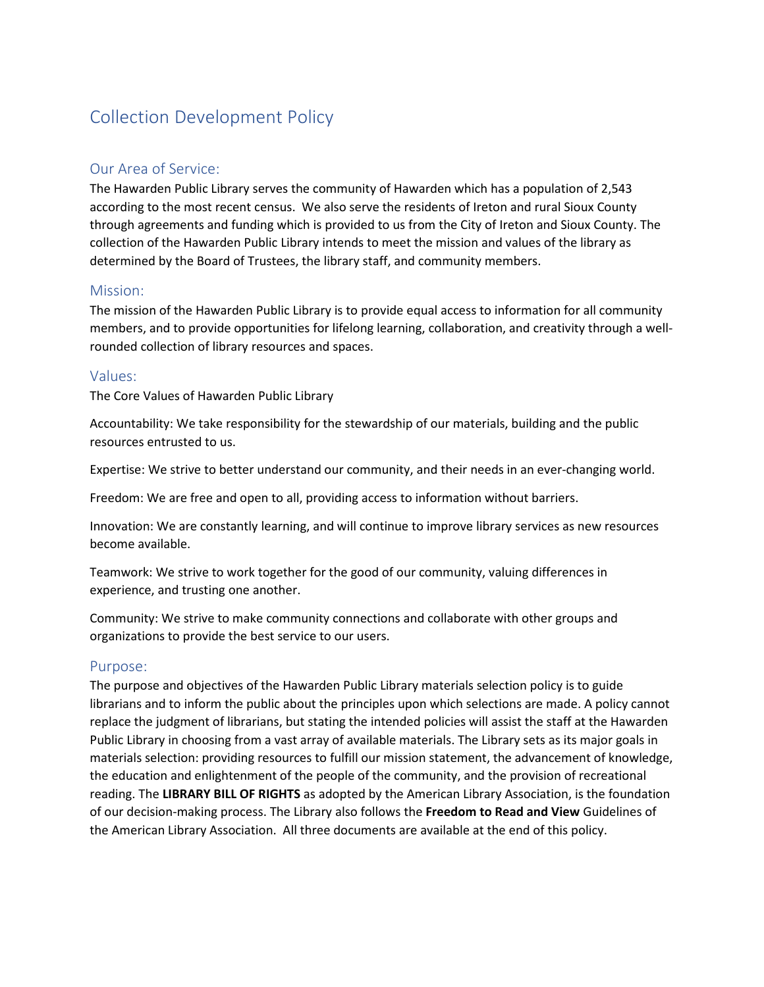# Collection Development Policy

## Our Area of Service:

The Hawarden Public Library serves the community of Hawarden which has a population of 2,543 according to the most recent census. We also serve the residents of Ireton and rural Sioux County through agreements and funding which is provided to us from the City of Ireton and Sioux County. The collection of the Hawarden Public Library intends to meet the mission and values of the library as determined by the Board of Trustees, the library staff, and community members.

#### Mission:

The mission of the Hawarden Public Library is to provide equal access to information for all community members, and to provide opportunities for lifelong learning, collaboration, and creativity through a wellrounded collection of library resources and spaces.

#### Values:

The Core Values of Hawarden Public Library

Accountability: We take responsibility for the stewardship of our materials, building and the public resources entrusted to us.

Expertise: We strive to better understand our community, and their needs in an ever-changing world.

Freedom: We are free and open to all, providing access to information without barriers.

Innovation: We are constantly learning, and will continue to improve library services as new resources become available.

Teamwork: We strive to work together for the good of our community, valuing differences in experience, and trusting one another.

Community: We strive to make community connections and collaborate with other groups and organizations to provide the best service to our users.

#### Purpose:

The purpose and objectives of the Hawarden Public Library materials selection policy is to guide librarians and to inform the public about the principles upon which selections are made. A policy cannot replace the judgment of librarians, but stating the intended policies will assist the staff at the Hawarden Public Library in choosing from a vast array of available materials. The Library sets as its major goals in materials selection: providing resources to fulfill our mission statement, the advancement of knowledge, the education and enlightenment of the people of the community, and the provision of recreational reading. The **LIBRARY BILL OF RIGHTS** as adopted by the American Library Association, is the foundation of our decision-making process. The Library also follows the **Freedom to Read and View** Guidelines of the American Library Association. All three documents are available at the end of this policy.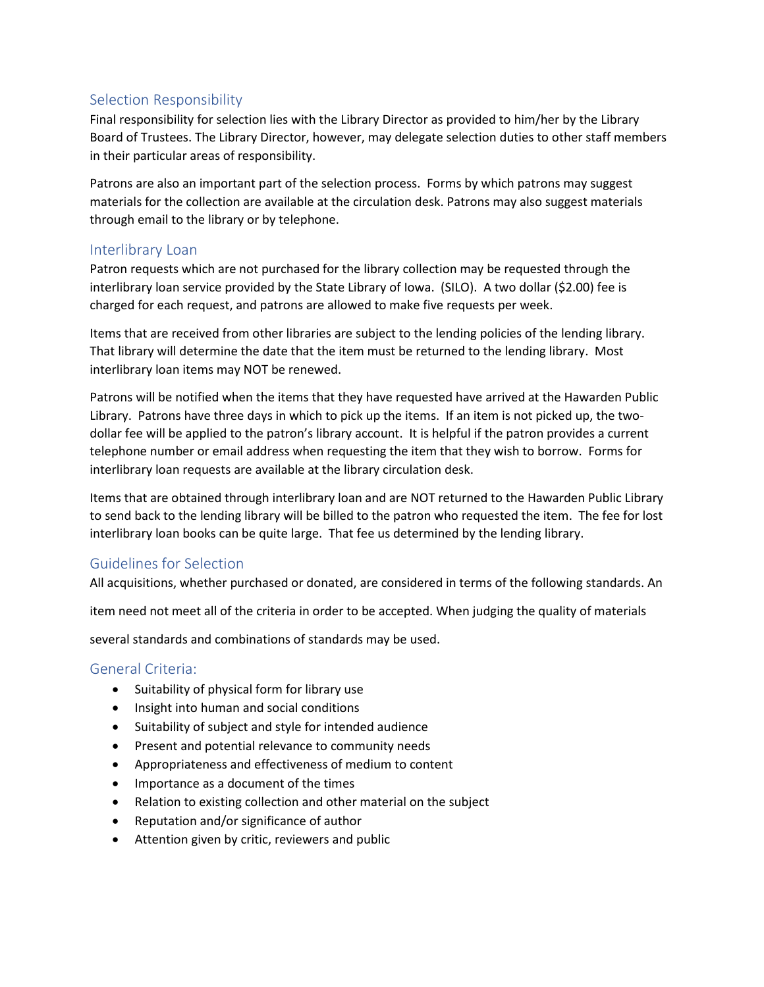# Selection Responsibility

Final responsibility for selection lies with the Library Director as provided to him/her by the Library Board of Trustees. The Library Director, however, may delegate selection duties to other staff members in their particular areas of responsibility.

Patrons are also an important part of the selection process. Forms by which patrons may suggest materials for the collection are available at the circulation desk. Patrons may also suggest materials through email to the library or by telephone.

# Interlibrary Loan

Patron requests which are not purchased for the library collection may be requested through the interlibrary loan service provided by the State Library of Iowa. (SILO). A two dollar (\$2.00) fee is charged for each request, and patrons are allowed to make five requests per week.

Items that are received from other libraries are subject to the lending policies of the lending library. That library will determine the date that the item must be returned to the lending library. Most interlibrary loan items may NOT be renewed.

Patrons will be notified when the items that they have requested have arrived at the Hawarden Public Library. Patrons have three days in which to pick up the items. If an item is not picked up, the twodollar fee will be applied to the patron's library account. It is helpful if the patron provides a current telephone number or email address when requesting the item that they wish to borrow. Forms for interlibrary loan requests are available at the library circulation desk.

Items that are obtained through interlibrary loan and are NOT returned to the Hawarden Public Library to send back to the lending library will be billed to the patron who requested the item. The fee for lost interlibrary loan books can be quite large. That fee us determined by the lending library.

# Guidelines for Selection

All acquisitions, whether purchased or donated, are considered in terms of the following standards. An

item need not meet all of the criteria in order to be accepted. When judging the quality of materials

several standards and combinations of standards may be used.

#### General Criteria:

- Suitability of physical form for library use
- Insight into human and social conditions
- Suitability of subject and style for intended audience
- Present and potential relevance to community needs
- Appropriateness and effectiveness of medium to content
- Importance as a document of the times
- Relation to existing collection and other material on the subject
- Reputation and/or significance of author
- Attention given by critic, reviewers and public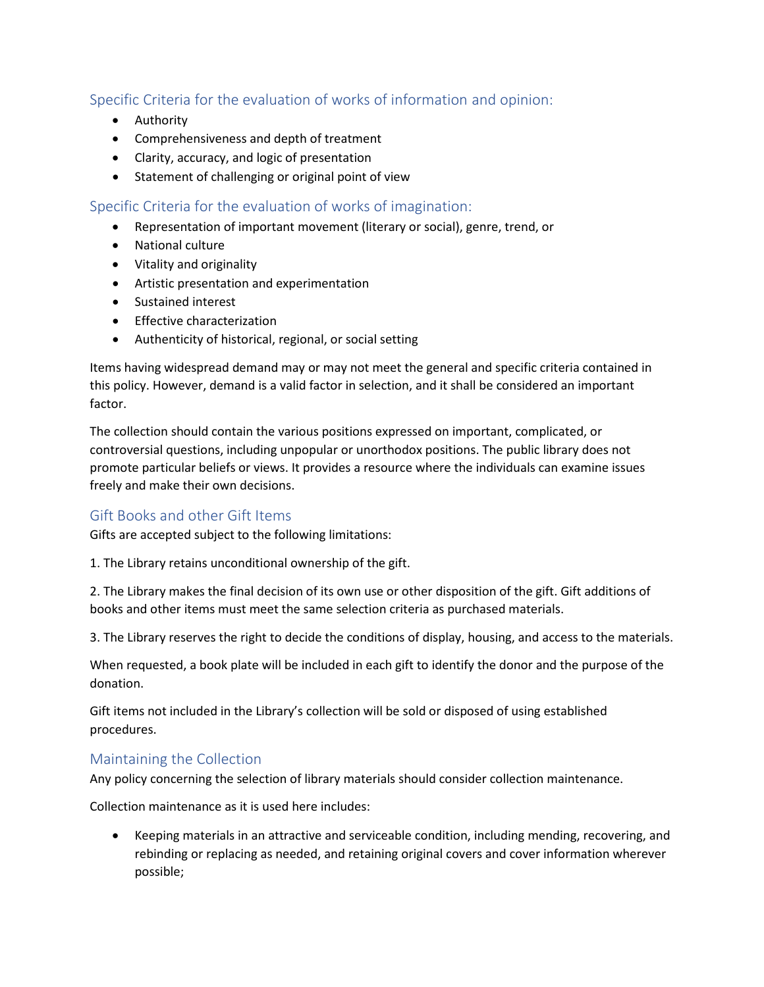# Specific Criteria for the evaluation of works of information and opinion:

- Authority
- Comprehensiveness and depth of treatment
- Clarity, accuracy, and logic of presentation
- Statement of challenging or original point of view

Specific Criteria for the evaluation of works of imagination:

- Representation of important movement (literary or social), genre, trend, or
- National culture
- Vitality and originality
- Artistic presentation and experimentation
- Sustained interest
- Effective characterization
- Authenticity of historical, regional, or social setting

Items having widespread demand may or may not meet the general and specific criteria contained in this policy. However, demand is a valid factor in selection, and it shall be considered an important factor.

The collection should contain the various positions expressed on important, complicated, or controversial questions, including unpopular or unorthodox positions. The public library does not promote particular beliefs or views. It provides a resource where the individuals can examine issues freely and make their own decisions.

# Gift Books and other Gift Items

Gifts are accepted subject to the following limitations:

1. The Library retains unconditional ownership of the gift.

2. The Library makes the final decision of its own use or other disposition of the gift. Gift additions of books and other items must meet the same selection criteria as purchased materials.

3. The Library reserves the right to decide the conditions of display, housing, and access to the materials.

When requested, a book plate will be included in each gift to identify the donor and the purpose of the donation.

Gift items not included in the Library's collection will be sold or disposed of using established procedures.

#### Maintaining the Collection

Any policy concerning the selection of library materials should consider collection maintenance.

Collection maintenance as it is used here includes:

• Keeping materials in an attractive and serviceable condition, including mending, recovering, and rebinding or replacing as needed, and retaining original covers and cover information wherever possible;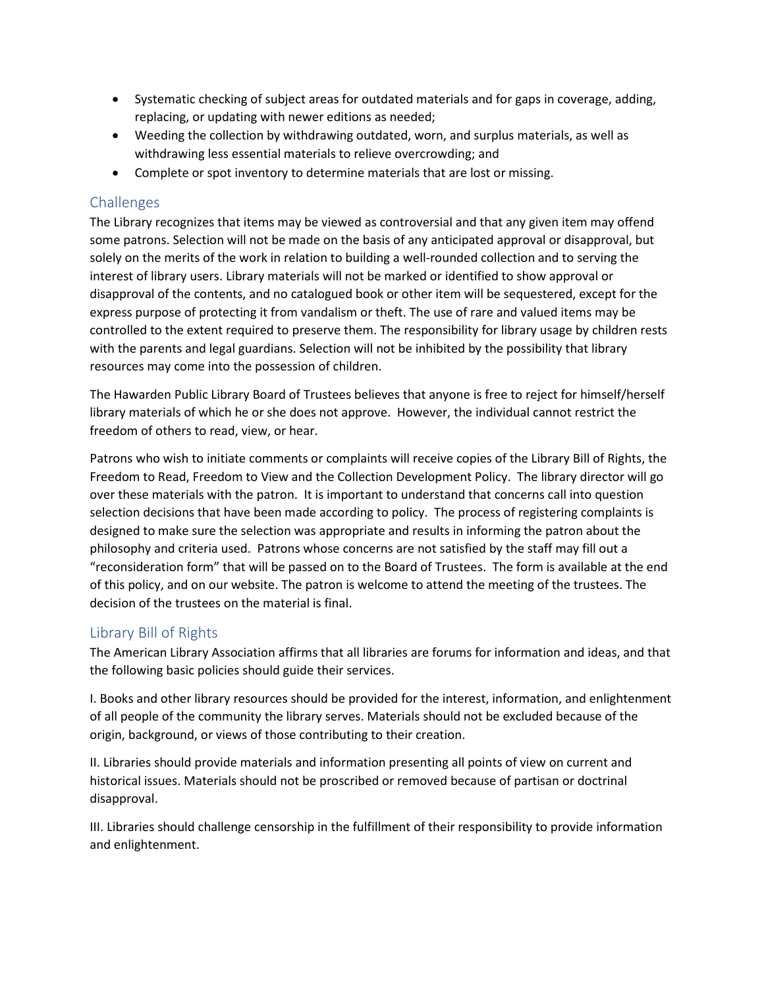- Systematic checking of subject areas for outdated materials and for gaps in coverage, adding, replacing, or updating with newer editions as needed;
- Weeding the collection by withdrawing outdated, worn, and surplus materials, as well as withdrawing less essential materials to relieve overcrowding; and
- Complete or spot inventory to determine materials that are lost or missing.

## **Challenges**

The Library recognizes that items may be viewed as controversial and that any given item may offend some patrons. Selection will not be made on the basis of any anticipated approval or disapproval, but solely on the merits of the work in relation to building a well-rounded collection and to serving the interest of library users. Library materials will not be marked or identified to show approval or disapproval of the contents, and no catalogued book or other item will be sequestered, except for the express purpose of protecting it from vandalism or theft. The use of rare and valued items may be controlled to the extent required to preserve them. The responsibility for library usage by children rests with the parents and legal guardians. Selection will not be inhibited by the possibility that library resources may come into the possession of children.

The Hawarden Public Library Board of Trustees believes that anyone is free to reject for himself/herself library materials of which he or she does not approve. However, the individual cannot restrict the freedom of others to read, view, or hear.

Patrons who wish to initiate comments or complaints will receive copies of the Library Bill of Rights, the Freedom to Read, Freedom to View and the Collection Development Policy. The library director will go over these materials with the patron. It is important to understand that concerns call into question selection decisions that have been made according to policy. The process of registering complaints is designed to make sure the selection was appropriate and results in informing the patron about the philosophy and criteria used. Patrons whose concerns are not satisfied by the staff may fill out a "reconsideration form" that will be passed on to the Board of Trustees. The form is available at the end of this policy, and on our website. The patron is welcome to attend the meeting of the trustees. The decision of the trustees on the material is final.

# Library Bill of Rights

The American Library Association affirms that all libraries are forums for information and ideas, and that the following basic policies should guide their services.

I. Books and other library resources should be provided for the interest, information, and enlightenment of all people of the community the library serves. Materials should not be excluded because of the origin, background, or views of those contributing to their creation.

II. Libraries should provide materials and information presenting all points of view on current and historical issues. Materials should not be proscribed or removed because of partisan or doctrinal disapproval.

III. Libraries should challenge censorship in the fulfillment of their responsibility to provide information and enlightenment.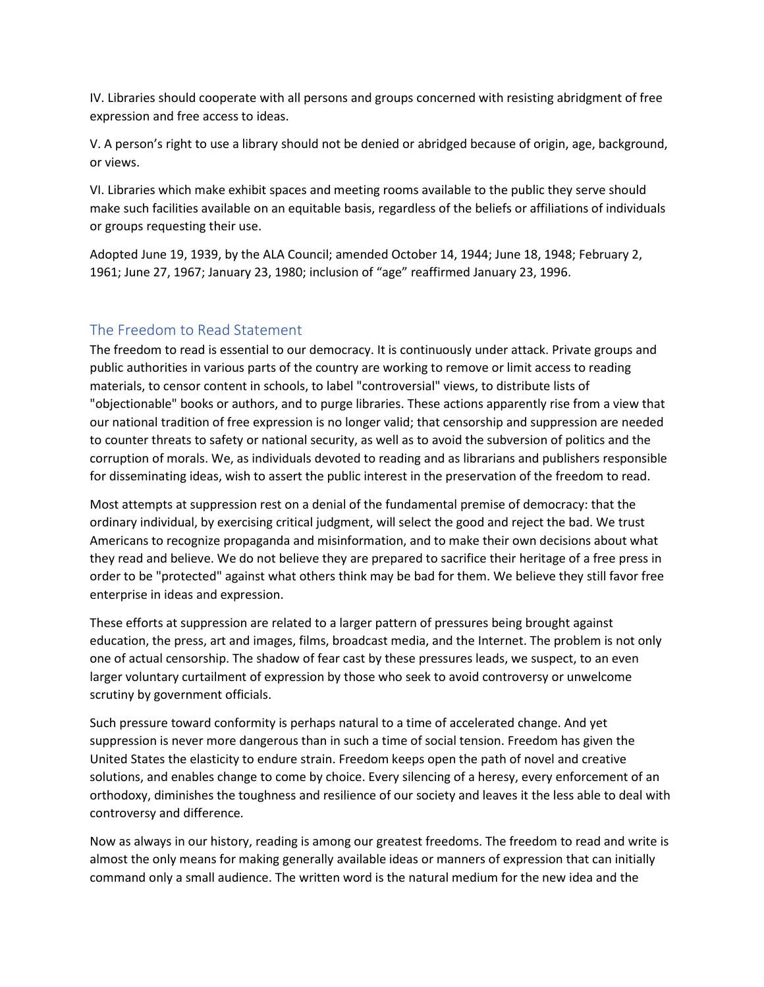IV. Libraries should cooperate with all persons and groups concerned with resisting abridgment of free expression and free access to ideas.

V. A person's right to use a library should not be denied or abridged because of origin, age, background, or views.

VI. Libraries which make exhibit spaces and meeting rooms available to the public they serve should make such facilities available on an equitable basis, regardless of the beliefs or affiliations of individuals or groups requesting their use.

Adopted June 19, 1939, by the ALA Council; amended October 14, 1944; June 18, 1948; February 2, 1961; June 27, 1967; January 23, 1980; inclusion of "age" reaffirmed January 23, 1996.

#### The Freedom to Read Statement

The freedom to read is essential to our democracy. It is continuously under attack. Private groups and public authorities in various parts of the country are working to remove or limit access to reading materials, to censor content in schools, to label "controversial" views, to distribute lists of "objectionable" books or authors, and to purge libraries. These actions apparently rise from a view that our national tradition of free expression is no longer valid; that censorship and suppression are needed to counter threats to safety or national security, as well as to avoid the subversion of politics and the corruption of morals. We, as individuals devoted to reading and as librarians and publishers responsible for disseminating ideas, wish to assert the public interest in the preservation of the freedom to read.

Most attempts at suppression rest on a denial of the fundamental premise of democracy: that the ordinary individual, by exercising critical judgment, will select the good and reject the bad. We trust Americans to recognize propaganda and misinformation, and to make their own decisions about what they read and believe. We do not believe they are prepared to sacrifice their heritage of a free press in order to be "protected" against what others think may be bad for them. We believe they still favor free enterprise in ideas and expression.

These efforts at suppression are related to a larger pattern of pressures being brought against education, the press, art and images, films, broadcast media, and the Internet. The problem is not only one of actual censorship. The shadow of fear cast by these pressures leads, we suspect, to an even larger voluntary curtailment of expression by those who seek to avoid controversy or unwelcome scrutiny by government officials.

Such pressure toward conformity is perhaps natural to a time of accelerated change. And yet suppression is never more dangerous than in such a time of social tension. Freedom has given the United States the elasticity to endure strain. Freedom keeps open the path of novel and creative solutions, and enables change to come by choice. Every silencing of a heresy, every enforcement of an orthodoxy, diminishes the toughness and resilience of our society and leaves it the less able to deal with controversy and difference.

Now as always in our history, reading is among our greatest freedoms. The freedom to read and write is almost the only means for making generally available ideas or manners of expression that can initially command only a small audience. The written word is the natural medium for the new idea and the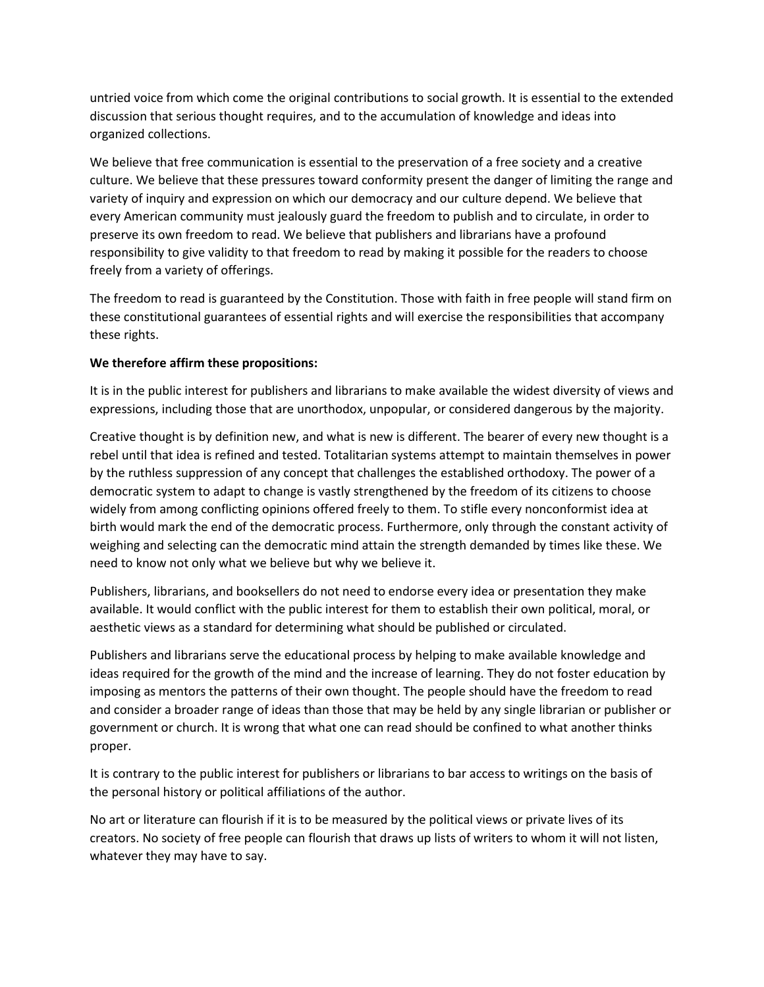untried voice from which come the original contributions to social growth. It is essential to the extended discussion that serious thought requires, and to the accumulation of knowledge and ideas into organized collections.

We believe that free communication is essential to the preservation of a free society and a creative culture. We believe that these pressures toward conformity present the danger of limiting the range and variety of inquiry and expression on which our democracy and our culture depend. We believe that every American community must jealously guard the freedom to publish and to circulate, in order to preserve its own freedom to read. We believe that publishers and librarians have a profound responsibility to give validity to that freedom to read by making it possible for the readers to choose freely from a variety of offerings.

The freedom to read is guaranteed by the Constitution. Those with faith in free people will stand firm on these constitutional guarantees of essential rights and will exercise the responsibilities that accompany these rights.

#### **We therefore affirm these propositions:**

It is in the public interest for publishers and librarians to make available the widest diversity of views and expressions, including those that are unorthodox, unpopular, or considered dangerous by the majority.

Creative thought is by definition new, and what is new is different. The bearer of every new thought is a rebel until that idea is refined and tested. Totalitarian systems attempt to maintain themselves in power by the ruthless suppression of any concept that challenges the established orthodoxy. The power of a democratic system to adapt to change is vastly strengthened by the freedom of its citizens to choose widely from among conflicting opinions offered freely to them. To stifle every nonconformist idea at birth would mark the end of the democratic process. Furthermore, only through the constant activity of weighing and selecting can the democratic mind attain the strength demanded by times like these. We need to know not only what we believe but why we believe it.

Publishers, librarians, and booksellers do not need to endorse every idea or presentation they make available. It would conflict with the public interest for them to establish their own political, moral, or aesthetic views as a standard for determining what should be published or circulated.

Publishers and librarians serve the educational process by helping to make available knowledge and ideas required for the growth of the mind and the increase of learning. They do not foster education by imposing as mentors the patterns of their own thought. The people should have the freedom to read and consider a broader range of ideas than those that may be held by any single librarian or publisher or government or church. It is wrong that what one can read should be confined to what another thinks proper.

It is contrary to the public interest for publishers or librarians to bar access to writings on the basis of the personal history or political affiliations of the author.

No art or literature can flourish if it is to be measured by the political views or private lives of its creators. No society of free people can flourish that draws up lists of writers to whom it will not listen, whatever they may have to say.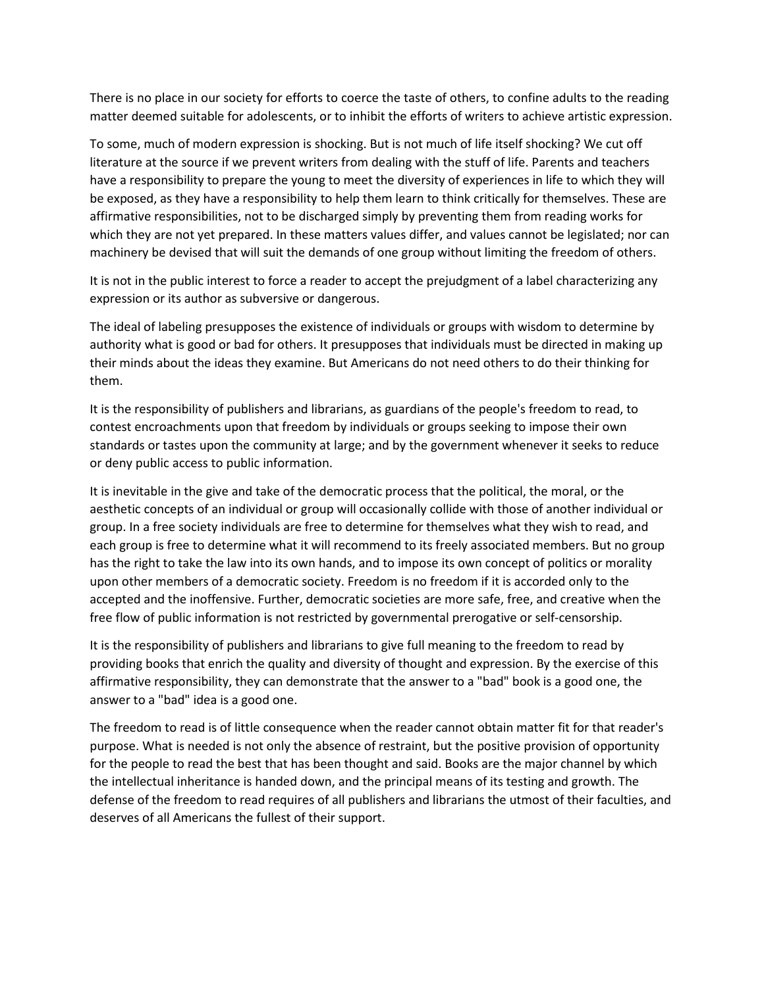There is no place in our society for efforts to coerce the taste of others, to confine adults to the reading matter deemed suitable for adolescents, or to inhibit the efforts of writers to achieve artistic expression.

To some, much of modern expression is shocking. But is not much of life itself shocking? We cut off literature at the source if we prevent writers from dealing with the stuff of life. Parents and teachers have a responsibility to prepare the young to meet the diversity of experiences in life to which they will be exposed, as they have a responsibility to help them learn to think critically for themselves. These are affirmative responsibilities, not to be discharged simply by preventing them from reading works for which they are not yet prepared. In these matters values differ, and values cannot be legislated; nor can machinery be devised that will suit the demands of one group without limiting the freedom of others.

It is not in the public interest to force a reader to accept the prejudgment of a label characterizing any expression or its author as subversive or dangerous.

The ideal of labeling presupposes the existence of individuals or groups with wisdom to determine by authority what is good or bad for others. It presupposes that individuals must be directed in making up their minds about the ideas they examine. But Americans do not need others to do their thinking for them.

It is the responsibility of publishers and librarians, as guardians of the people's freedom to read, to contest encroachments upon that freedom by individuals or groups seeking to impose their own standards or tastes upon the community at large; and by the government whenever it seeks to reduce or deny public access to public information.

It is inevitable in the give and take of the democratic process that the political, the moral, or the aesthetic concepts of an individual or group will occasionally collide with those of another individual or group. In a free society individuals are free to determine for themselves what they wish to read, and each group is free to determine what it will recommend to its freely associated members. But no group has the right to take the law into its own hands, and to impose its own concept of politics or morality upon other members of a democratic society. Freedom is no freedom if it is accorded only to the accepted and the inoffensive. Further, democratic societies are more safe, free, and creative when the free flow of public information is not restricted by governmental prerogative or self-censorship.

It is the responsibility of publishers and librarians to give full meaning to the freedom to read by providing books that enrich the quality and diversity of thought and expression. By the exercise of this affirmative responsibility, they can demonstrate that the answer to a "bad" book is a good one, the answer to a "bad" idea is a good one.

The freedom to read is of little consequence when the reader cannot obtain matter fit for that reader's purpose. What is needed is not only the absence of restraint, but the positive provision of opportunity for the people to read the best that has been thought and said. Books are the major channel by which the intellectual inheritance is handed down, and the principal means of its testing and growth. The defense of the freedom to read requires of all publishers and librarians the utmost of their faculties, and deserves of all Americans the fullest of their support.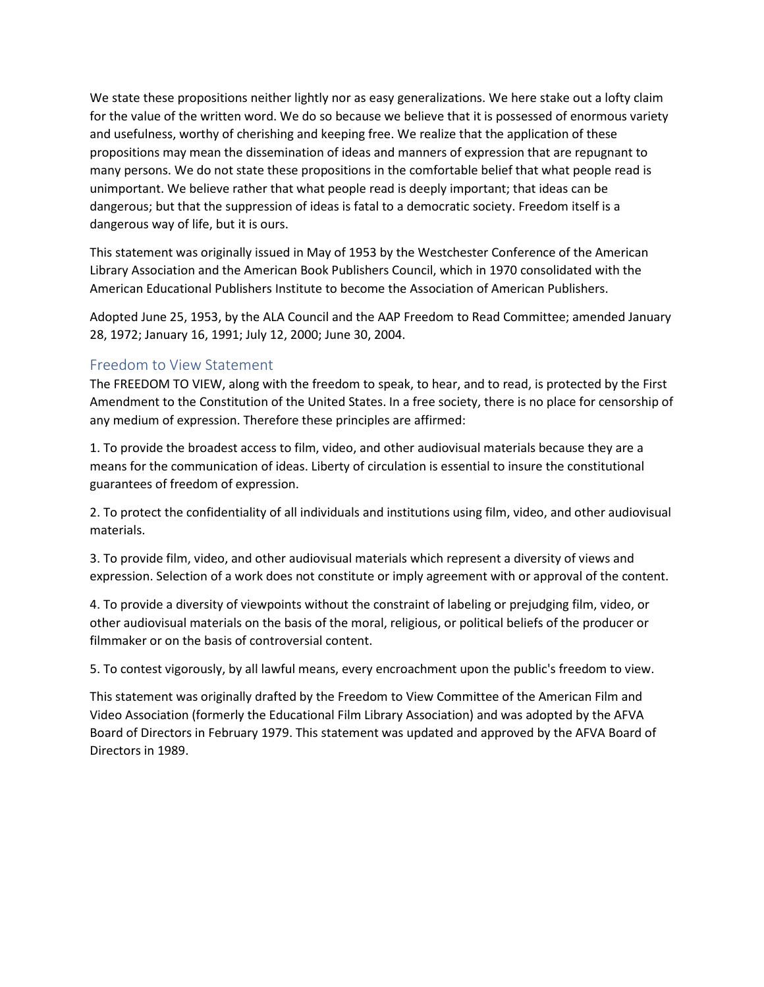We state these propositions neither lightly nor as easy generalizations. We here stake out a lofty claim for the value of the written word. We do so because we believe that it is possessed of enormous variety and usefulness, worthy of cherishing and keeping free. We realize that the application of these propositions may mean the dissemination of ideas and manners of expression that are repugnant to many persons. We do not state these propositions in the comfortable belief that what people read is unimportant. We believe rather that what people read is deeply important; that ideas can be dangerous; but that the suppression of ideas is fatal to a democratic society. Freedom itself is a dangerous way of life, but it is ours.

This statement was originally issued in May of 1953 by the Westchester Conference of the American Library Association and the American Book Publishers Council, which in 1970 consolidated with the American Educational Publishers Institute to become the Association of American Publishers.

Adopted June 25, 1953, by the ALA Council and the AAP Freedom to Read Committee; amended January 28, 1972; January 16, 1991; July 12, 2000; June 30, 2004.

#### Freedom to View Statement

The FREEDOM TO VIEW, along with the freedom to speak, to hear, and to read, is protected by the First Amendment to the Constitution of the United States. In a free society, there is no place for censorship of any medium of expression. Therefore these principles are affirmed:

1. To provide the broadest access to film, video, and other audiovisual materials because they are a means for the communication of ideas. Liberty of circulation is essential to insure the constitutional guarantees of freedom of expression.

2. To protect the confidentiality of all individuals and institutions using film, video, and other audiovisual materials.

3. To provide film, video, and other audiovisual materials which represent a diversity of views and expression. Selection of a work does not constitute or imply agreement with or approval of the content.

4. To provide a diversity of viewpoints without the constraint of labeling or prejudging film, video, or other audiovisual materials on the basis of the moral, religious, or political beliefs of the producer or filmmaker or on the basis of controversial content.

5. To contest vigorously, by all lawful means, every encroachment upon the public's freedom to view.

This statement was originally drafted by the Freedom to View Committee of the American Film and Video Association (formerly the Educational Film Library Association) and was adopted by the AFVA Board of Directors in February 1979. This statement was updated and approved by the AFVA Board of Directors in 1989.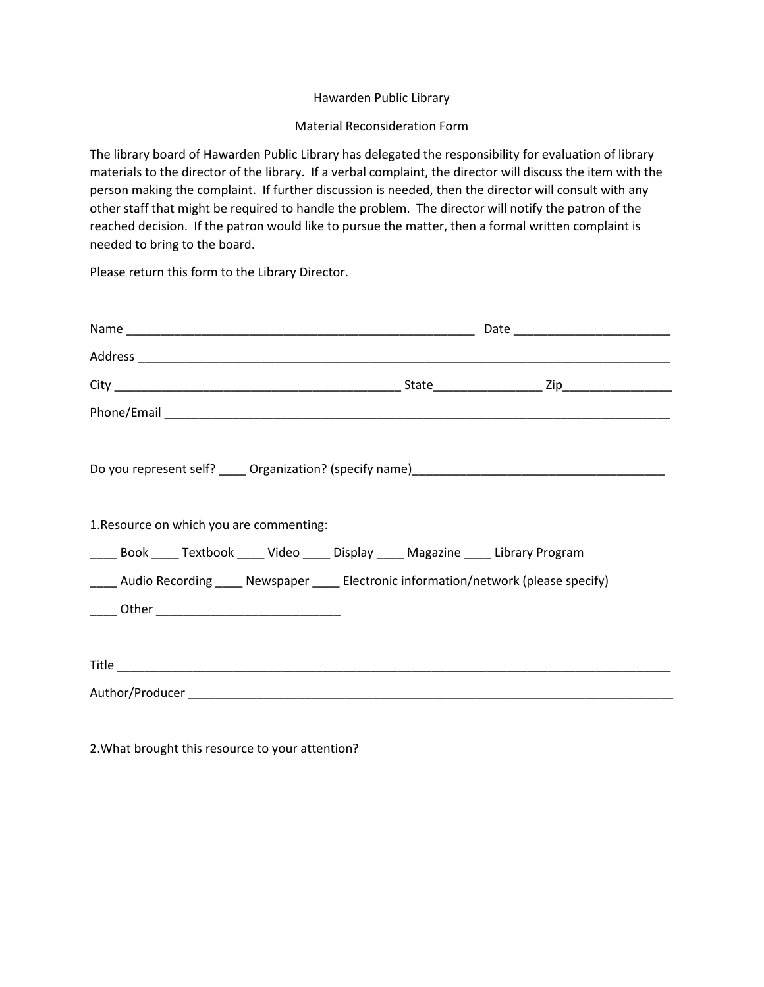#### Hawarden Public Library

#### Material Reconsideration Form

The library board of Hawarden Public Library has delegated the responsibility for evaluation of library materials to the director of the library. If a verbal complaint, the director will discuss the item with the person making the complaint. If further discussion is needed, then the director will consult with any other staff that might be required to handle the problem. The director will notify the patron of the reached decision. If the patron would like to pursue the matter, then a formal written complaint is needed to bring to the board.

Please return this form to the Library Director.

| 1. Resource on which you are commenting:                                                 |  |
|------------------------------------------------------------------------------------------|--|
| _____ Book _____ Textbook _____ Video _____ Display _____ Magazine _____ Library Program |  |
| ____ Audio Recording ____ Newspaper ____ Electronic information/network (please specify) |  |
| _____ Other __________________________________                                           |  |
|                                                                                          |  |
|                                                                                          |  |
|                                                                                          |  |

2.What brought this resource to your attention?